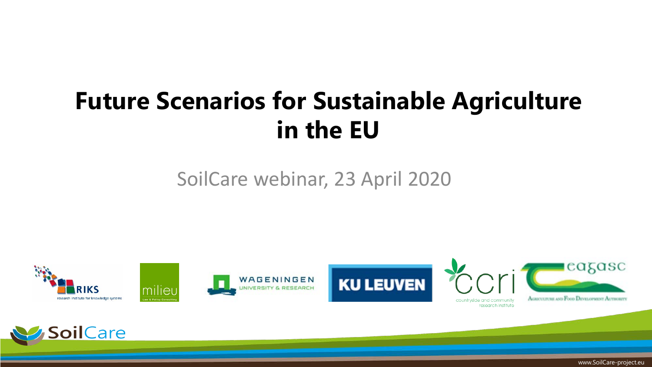## **Future Scenarios for Sustainable Agriculture in the EU**

#### SoilCare webinar, 23 April 2020





www.SoilCare-project.eu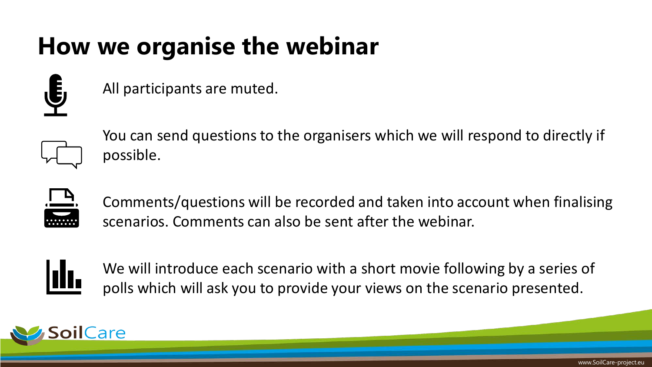## **How we organise the webinar**



All participants are muted.



You can send questions to the organisers which we will respond to directly if possible.



Comments/questions will be recorded and taken into account when finalising scenarios. Comments can also be sent after the webinar.



We will introduce each scenario with a short movie following by a series of polls which will ask you to provide your views on the scenario presented.

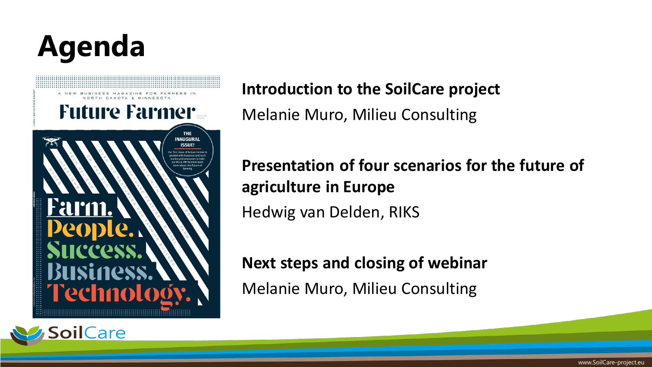# **Agenda**





**Introduction to the SoilCare project**

Melanie Muro, Milieu Consulting

**Presentation of four scenarios for the future of agriculture in Europe** Hedwig van Delden, RIKS

**Next steps and closing of webinar**

Melanie Muro, Milieu Consulting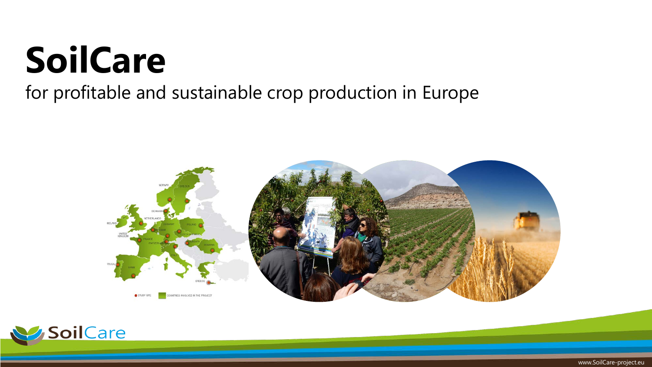# **SoilCare**

#### for profitable and sustainable crop production in Europe



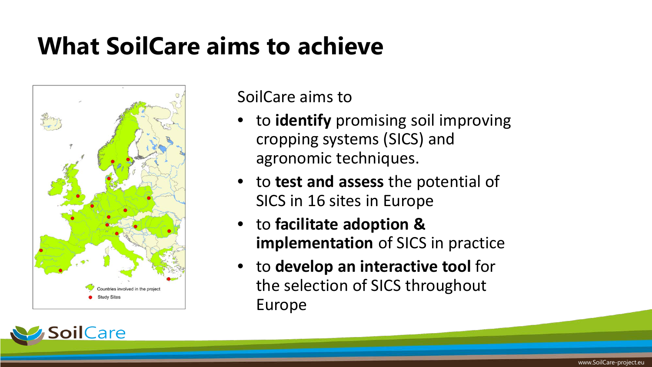### **What SoilCare aims to achieve**



ilCare

SoilCare aims to

- to **identify** promising soil improving cropping systems (SICS) and agronomic techniques.
- to **test and assess** the potential of SICS in 16 sites in Europe
- to **facilitate adoption & implementation** of SICS in practice
- to **develop an interactive tool** for the selection of SICS throughout Europe

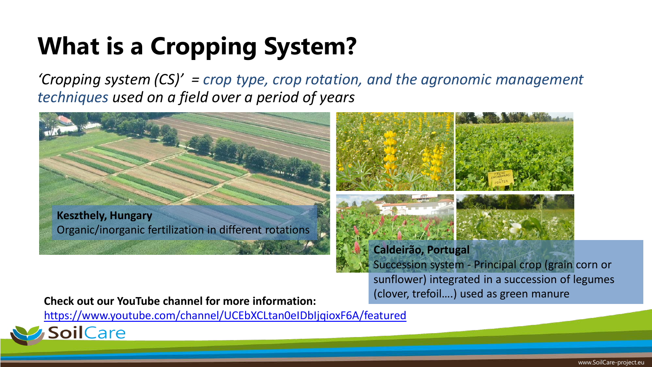# **What is a Cropping System?**

*'Cropping system (CS)' = crop type, crop rotation, and the agronomic management techniques used on a field over a period of years*



<https://www.youtube.com/channel/UCEbXCLtan0eIDbIjqioxF6A/featured>

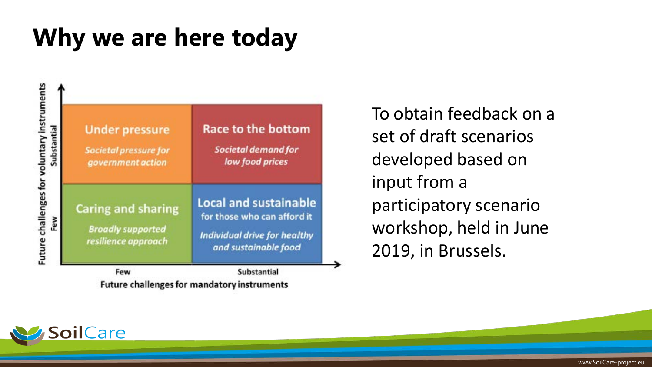#### **Why we are here today**

| <b>Societal pressure for</b>                                                 | Societal demand for                                                                                                 |
|------------------------------------------------------------------------------|---------------------------------------------------------------------------------------------------------------------|
| government action                                                            | low food prices                                                                                                     |
| <b>Caring and sharing</b><br><b>Broadly supported</b><br>resilience approach | <b>Local and sustainable</b><br>for those who can afford it<br>Individual drive for healthy<br>and sustainable food |

To obtain feedback on a set of draft scenarios developed based on input from a participatory scenario workshop, held in June 2019, in Brussels.

**Future challenges for mandatory instruments** 

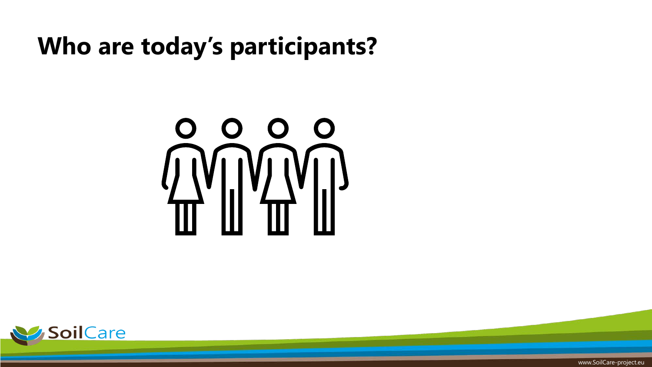#### **Who are today's participants?**





www.SoilCare-project.eu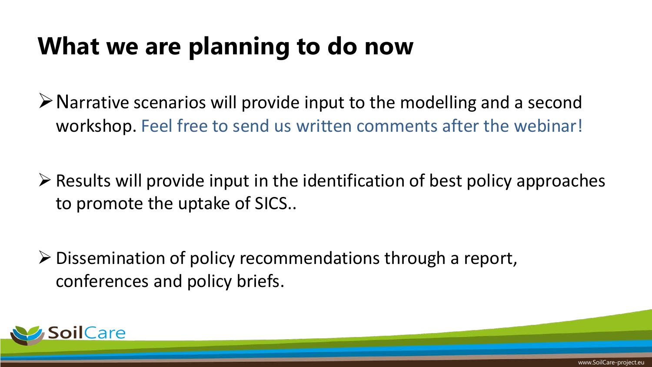### **What we are planning to do now**

 $\triangleright$  Narrative scenarios will provide input to the modelling and a second workshop. Feel free to send us written comments after the webinar!

 $\triangleright$  Results will provide input in the identification of best policy approaches to promote the uptake of SICS..

 $\triangleright$  Dissemination of policy recommendations through a report, conferences and policy briefs.